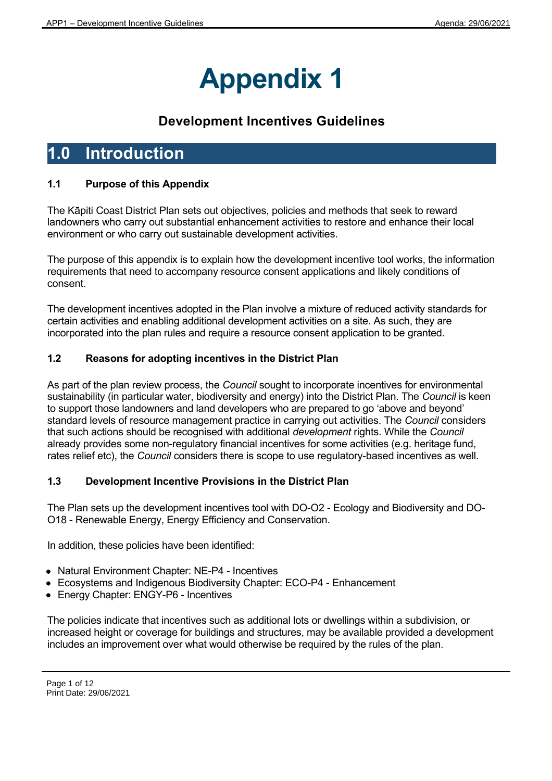# **Appendix 1**

# **Development Incentives Guidelines**

# **1.0 Introduction**

# **1.1 Purpose of this Appendix**

The Kāpiti Coast District Plan sets out objectives, policies and methods that seek to reward landowners who carry out substantial enhancement activities to restore and enhance their local environment or who carry out sustainable development activities.

The purpose of this appendix is to explain how the development incentive tool works, the information requirements that need to accompany resource consent applications and likely conditions of consent.

The development incentives adopted in the Plan involve a mixture of reduced activity standards for certain activities and enabling additional development activities on a site. As such, they are incorporated into the plan rules and require a resource consent application to be granted.

# **1.2 Reasons for adopting incentives in the District Plan**

As part of the plan review process, the *Council* sought to incorporate incentives for environmental sustainability (in particular water, biodiversity and energy) into the District Plan. The *Council* is keen to support those landowners and land developers who are prepared to go 'above and beyond' standard levels of resource management practice in carrying out activities. The *Council* considers that such actions should be recognised with additional *development* rights. While the *Council* already provides some non-regulatory financial incentives for some activities (e.g. heritage fund, rates relief etc), the *Council* considers there is scope to use regulatory-based incentives as well.

# **1.3 Development Incentive Provisions in the District Plan**

The Plan sets up the development incentives tool with DO-O2 - Ecology and Biodiversity and DO-O18 - Renewable Energy, Energy Efficiency and Conservation.

In addition, these policies have been identified:

- Natural Environment Chapter: NE-P4 Incentives
- Ecosystems and Indigenous Biodiversity Chapter: ECO-P4 Enhancement
- Energy Chapter: ENGY-P6 Incentives

The policies indicate that incentives such as additional lots or dwellings within a subdivision, or increased height or coverage for buildings and structures, may be available provided a development includes an improvement over what would otherwise be required by the rules of the plan.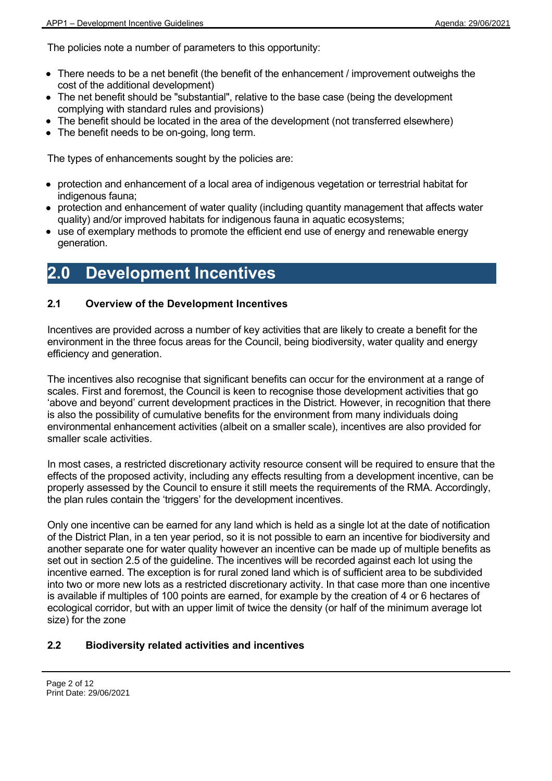The policies note a number of parameters to this opportunity:

- There needs to be a net benefit (the benefit of the enhancement / improvement outweighs the cost of the additional development)
- The net benefit should be "substantial", relative to the base case (being the development complying with standard rules and provisions)
- The benefit should be located in the area of the development (not transferred elsewhere)
- The benefit needs to be on-going, long term.

The types of enhancements sought by the policies are:

- protection and enhancement of a local area of indigenous vegetation or terrestrial habitat for indigenous fauna;
- protection and enhancement of water quality (including quantity management that affects water quality) and/or improved habitats for indigenous fauna in aquatic ecosystems;
- use of exemplary methods to promote the efficient end use of energy and renewable energy generation.

# **2.0 Development Incentives**

# **2.1 Overview of the Development Incentives**

Incentives are provided across a number of key activities that are likely to create a benefit for the environment in the three focus areas for the Council, being biodiversity, water quality and energy efficiency and generation.

The incentives also recognise that significant benefits can occur for the environment at a range of scales. First and foremost, the Council is keen to recognise those development activities that go 'above and beyond' current development practices in the District. However, in recognition that there is also the possibility of cumulative benefits for the environment from many individuals doing environmental enhancement activities (albeit on a smaller scale), incentives are also provided for smaller scale activities.

In most cases, a restricted discretionary activity resource consent will be required to ensure that the effects of the proposed activity, including any effects resulting from a development incentive, can be properly assessed by the Council to ensure it still meets the requirements of the RMA. Accordingly, the plan rules contain the 'triggers' for the development incentives.

Only one incentive can be earned for any land which is held as a single lot at the date of notification of the District Plan, in a ten year period, so it is not possible to earn an incentive for biodiversity and another separate one for water quality however an incentive can be made up of multiple benefits as set out in section 2.5 of the guideline. The incentives will be recorded against each lot using the incentive earned. The exception is for rural zoned land which is of sufficient area to be subdivided into two or more new lots as a restricted discretionary activity. In that case more than one incentive is available if multiples of 100 points are earned, for example by the creation of 4 or 6 hectares of ecological corridor, but with an upper limit of twice the density (or half of the minimum average lot size) for the zone

# **2.2 Biodiversity related activities and incentives**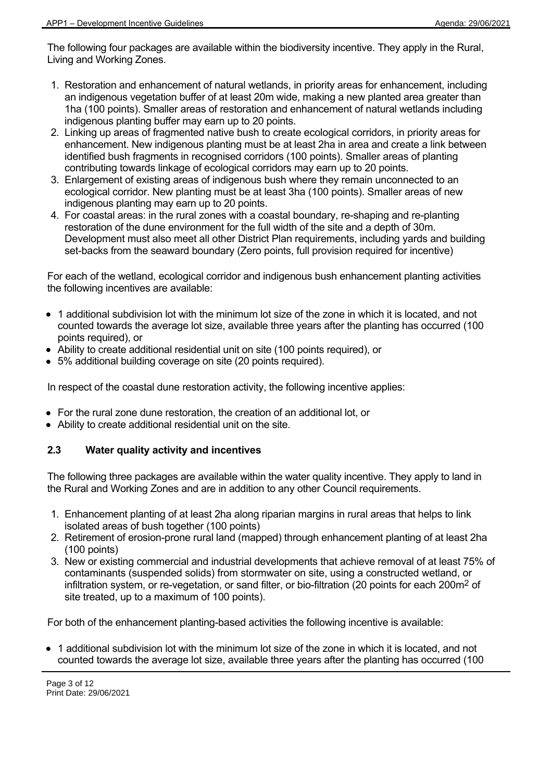The following four packages are available within the biodiversity incentive. They apply in the Rural, Living and Working Zones.

- 1. Restoration and enhancement of natural wetlands, in priority areas for enhancement, including an indigenous vegetation buffer of at least 20m wide, making a new planted area greater than 1ha (100 points). Smaller areas of restoration and enhancement of natural wetlands including indigenous planting buffer may earn up to 20 points.
- 2. Linking up areas of fragmented native bush to create ecological corridors, in priority areas for enhancement. New indigenous planting must be at least 2ha in area and create a link between identified bush fragments in recognised corridors (100 points). Smaller areas of planting contributing towards linkage of ecological corridors may earn up to 20 points.
- 3. Enlargement of existing areas of indigenous bush where they remain unconnected to an ecological corridor. New planting must be at least 3ha (100 points). Smaller areas of new indigenous planting may earn up to 20 points.
- 4. For coastal areas: in the rural zones with a coastal boundary, re-shaping and re-planting restoration of the dune environment for the full width of the site and a depth of 30m. Development must also meet all other District Plan requirements, including yards and building set-backs from the seaward boundary (Zero points, full provision required for incentive)

For each of the wetland, ecological corridor and indigenous bush enhancement planting activities the following incentives are available:

- 1 additional subdivision lot with the minimum lot size of the zone in which it is located, and not counted towards the average lot size, available three years after the planting has occurred (100 points required), or
- Ability to create additional residential unit on site (100 points required), or
- 5% additional building coverage on site (20 points required).

In respect of the coastal dune restoration activity, the following incentive applies:

- For the rural zone dune restoration, the creation of an additional lot, or
- Ability to create additional residential unit on the site.

# **2.3 Water quality activity and incentives**

The following three packages are available within the water quality incentive. They apply to land in the Rural and Working Zones and are in addition to any other Council requirements.

- 1. Enhancement planting of at least 2ha along riparian margins in rural areas that helps to link isolated areas of bush together (100 points)
- 2. Retirement of erosion-prone rural land (mapped) through enhancement planting of at least 2ha (100 points)
- 3. New or existing commercial and industrial developments that achieve removal of at least 75% of contaminants (suspended solids) from stormwater on site, using a constructed wetland, or infiltration system, or re-vegetation, or sand filter, or bio-filtration (20 points for each 200m<sup>2</sup> of site treated, up to a maximum of 100 points).

For both of the enhancement planting-based activities the following incentive is available:

• 1 additional subdivision lot with the minimum lot size of the zone in which it is located, and not counted towards the average lot size, available three years after the planting has occurred (100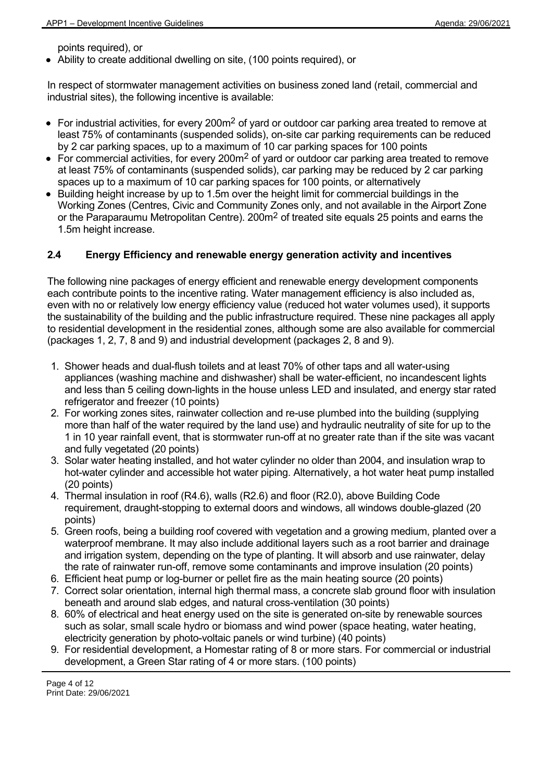points required), or

Ability to create additional dwelling on site, (100 points required), or

In respect of stormwater management activities on business zoned land (retail, commercial and industrial sites), the following incentive is available:

- For industrial activities, for every 200m<sup>2</sup> of yard or outdoor car parking area treated to remove at least 75% of contaminants (suspended solids), on-site car parking requirements can be reduced by 2 car parking spaces, up to a maximum of 10 car parking spaces for 100 points
- For commercial activities, for every 200m<sup>2</sup> of yard or outdoor car parking area treated to remove at least 75% of contaminants (suspended solids), car parking may be reduced by 2 car parking spaces up to a maximum of 10 car parking spaces for 100 points, or alternatively
- Building height increase by up to 1.5m over the height limit for commercial buildings in the Working Zones (Centres, Civic and Community Zones only, and not available in the Airport Zone or the Paraparaumu Metropolitan Centre). 200 $m<sup>2</sup>$  of treated site equals 25 points and earns the 1.5m height increase.

# **2.4 Energy Efficiency and renewable energy generation activity and incentives**

The following nine packages of energy efficient and renewable energy development components each contribute points to the incentive rating. Water management efficiency is also included as, even with no or relatively low energy efficiency value (reduced hot water volumes used), it supports the sustainability of the building and the public infrastructure required. These nine packages all apply to residential development in the residential zones, although some are also available for commercial (packages 1, 2, 7, 8 and 9) and industrial development (packages 2, 8 and 9).

- 1. Shower heads and dual-flush toilets and at least 70% of other taps and all water-using appliances (washing machine and dishwasher) shall be water-efficient, no incandescent lights and less than 5 ceiling down-lights in the house unless LED and insulated, and energy star rated refrigerator and freezer (10 points)
- 2. For working zones sites, rainwater collection and re-use plumbed into the building (supplying more than half of the water required by the land use) and hydraulic neutrality of site for up to the 1 in 10 year rainfall event, that is stormwater run-off at no greater rate than if the site was vacant and fully vegetated (20 points)
- 3. Solar water heating installed, and hot water cylinder no older than 2004, and insulation wrap to hot-water cylinder and accessible hot water piping. Alternatively, a hot water heat pump installed (20 points)
- 4. Thermal insulation in roof (R4.6), walls (R2.6) and floor (R2.0), above Building Code requirement, draught-stopping to external doors and windows, all windows double-glazed (20 points)
- 5. Green roofs, being a building roof covered with vegetation and a growing medium, planted over a waterproof membrane. It may also include additional layers such as a root barrier and drainage and irrigation system, depending on the type of planting. It will absorb and use rainwater, delay the rate of rainwater run-off, remove some contaminants and improve insulation (20 points)
- 6. Efficient heat pump or log-burner or pellet fire as the main heating source (20 points)
- 7. Correct solar orientation, internal high thermal mass, a concrete slab ground floor with insulation beneath and around slab edges, and natural cross-ventilation (30 points)
- 8. 60% of electrical and heat energy used on the site is generated on-site by renewable sources such as solar, small scale hydro or biomass and wind power (space heating, water heating, electricity generation by photo-voltaic panels or wind turbine) (40 points)
- 9. For residential development, a Homestar rating of 8 or more stars. For commercial or industrial development, a Green Star rating of 4 or more stars. (100 points)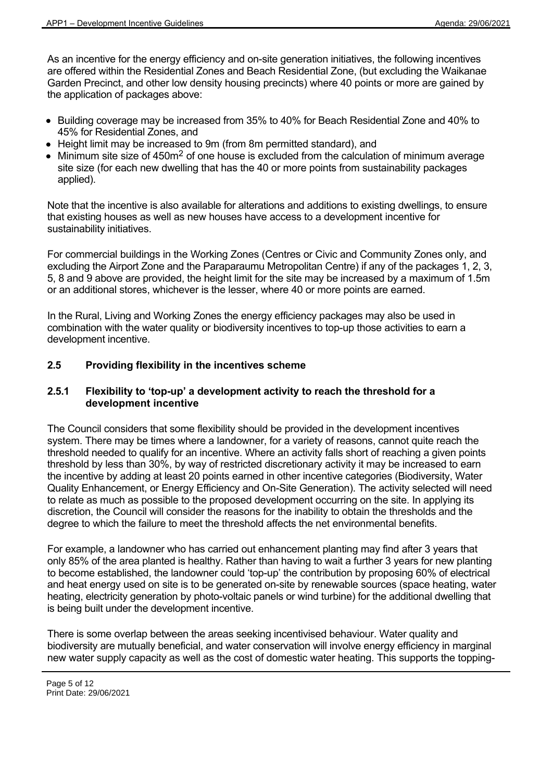As an incentive for the energy efficiency and on-site generation initiatives, the following incentives are offered within the Residential Zones and Beach Residential Zone, (but excluding the Waikanae Garden Precinct, and other low density housing precincts) where 40 points or more are gained by the application of packages above:

- Building coverage may be increased from 35% to 40% for Beach Residential Zone and 40% to 45% for Residential Zones, and
- Height limit may be increased to 9m (from 8m permitted standard), and
- Minimum site size of  $450m<sup>2</sup>$  of one house is excluded from the calculation of minimum average site size (for each new dwelling that has the 40 or more points from sustainability packages applied).

Note that the incentive is also available for alterations and additions to existing dwellings, to ensure that existing houses as well as new houses have access to a development incentive for sustainability initiatives.

For commercial buildings in the Working Zones (Centres or Civic and Community Zones only, and excluding the Airport Zone and the Paraparaumu Metropolitan Centre) if any of the packages 1, 2, 3, 5, 8 and 9 above are provided, the height limit for the site may be increased by a maximum of 1.5m or an additional stores, whichever is the lesser, where 40 or more points are earned.

In the Rural, Living and Working Zones the energy efficiency packages may also be used in combination with the water quality or biodiversity incentives to top-up those activities to earn a development incentive.

# **2.5 Providing flexibility in the incentives scheme**

#### **2.5.1 Flexibility to 'top-up' a development activity to reach the threshold for a development incentive**

The Council considers that some flexibility should be provided in the development incentives system. There may be times where a landowner, for a variety of reasons, cannot quite reach the threshold needed to qualify for an incentive. Where an activity falls short of reaching a given points threshold by less than 30%, by way of restricted discretionary activity it may be increased to earn the incentive by adding at least 20 points earned in other incentive categories (Biodiversity, Water Quality Enhancement, or Energy Efficiency and On-Site Generation). The activity selected will need to relate as much as possible to the proposed development occurring on the site. In applying its discretion, the Council will consider the reasons for the inability to obtain the thresholds and the degree to which the failure to meet the threshold affects the net environmental benefits.

For example, a landowner who has carried out enhancement planting may find after 3 years that only 85% of the area planted is healthy. Rather than having to wait a further 3 years for new planting to become established, the landowner could 'top-up' the contribution by proposing 60% of electrical and heat energy used on site is to be generated on-site by renewable sources (space heating, water heating, electricity generation by photo-voltaic panels or wind turbine) for the additional dwelling that is being built under the development incentive.

There is some overlap between the areas seeking incentivised behaviour. Water quality and biodiversity are mutually beneficial, and water conservation will involve energy efficiency in marginal new water supply capacity as well as the cost of domestic water heating. This supports the topping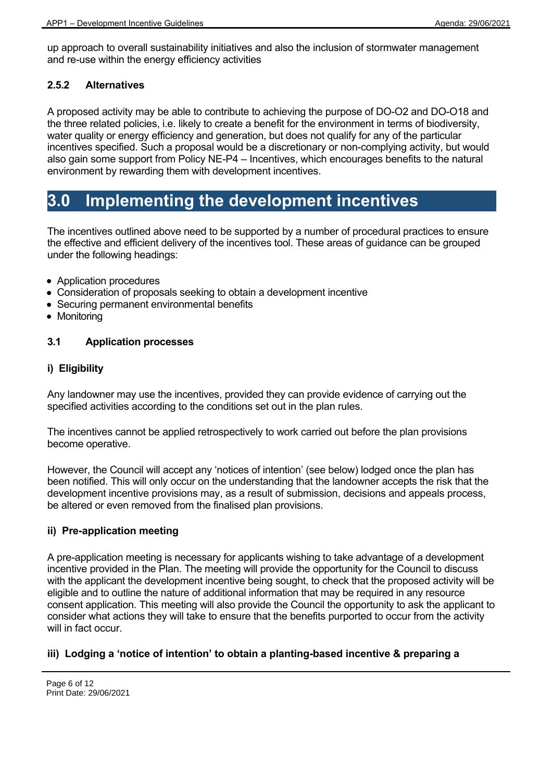up approach to overall sustainability initiatives and also the inclusion of stormwater management and re-use within the energy efficiency activities

### **2.5.2 Alternatives**

A proposed activity may be able to contribute to achieving the purpose of DO-O2 and DO-O18 and the three related policies, i.e. likely to create a benefit for the environment in terms of biodiversity, water quality or energy efficiency and generation, but does not qualify for any of the particular incentives specified. Such a proposal would be a discretionary or non-complying activity, but would also gain some support from Policy NE-P4 – Incentives, which encourages benefits to the natural environment by rewarding them with development incentives.

# **3.0 Implementing the development incentives**

The incentives outlined above need to be supported by a number of procedural practices to ensure the effective and efficient delivery of the incentives tool. These areas of guidance can be grouped under the following headings:

- Application procedures
- Consideration of proposals seeking to obtain a development incentive
- Securing permanent environmental benefits
- Monitoring

# **3.1 Application processes**

### **i) Eligibility**

Any landowner may use the incentives, provided they can provide evidence of carrying out the specified activities according to the conditions set out in the plan rules.

The incentives cannot be applied retrospectively to work carried out before the plan provisions become operative.

However, the Council will accept any 'notices of intention' (see below) lodged once the plan has been notified. This will only occur on the understanding that the landowner accepts the risk that the development incentive provisions may, as a result of submission, decisions and appeals process, be altered or even removed from the finalised plan provisions.

#### **ii) Pre-application meeting**

A pre-application meeting is necessary for applicants wishing to take advantage of a development incentive provided in the Plan. The meeting will provide the opportunity for the Council to discuss with the applicant the development incentive being sought, to check that the proposed activity will be eligible and to outline the nature of additional information that may be required in any resource consent application. This meeting will also provide the Council the opportunity to ask the applicant to consider what actions they will take to ensure that the benefits purported to occur from the activity will in fact occur.

# **iii) Lodging a 'notice of intention' to obtain a planting-based incentive & preparing a**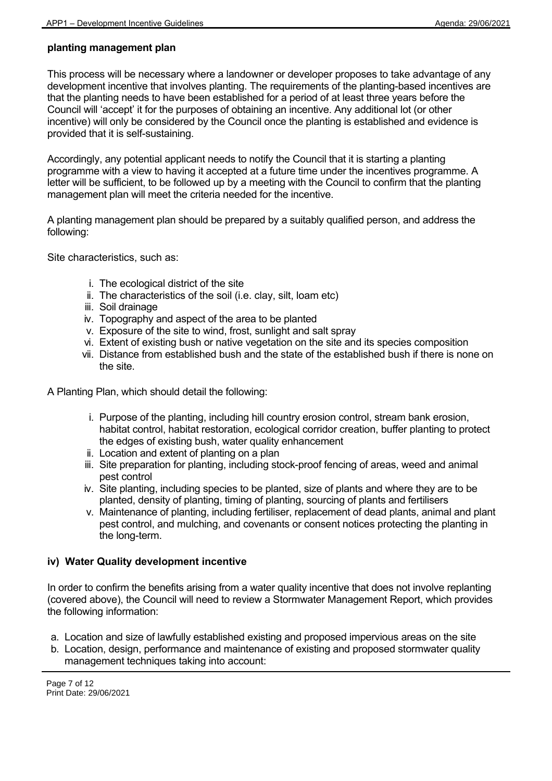# **planting management plan**

This process will be necessary where a landowner or developer proposes to take advantage of any development incentive that involves planting. The requirements of the planting-based incentives are that the planting needs to have been established for a period of at least three years before the Council will 'accept' it for the purposes of obtaining an incentive. Any additional lot (or other incentive) will only be considered by the Council once the planting is established and evidence is provided that it is self-sustaining.

Accordingly, any potential applicant needs to notify the Council that it is starting a planting programme with a view to having it accepted at a future time under the incentives programme. A letter will be sufficient, to be followed up by a meeting with the Council to confirm that the planting management plan will meet the criteria needed for the incentive.

A planting management plan should be prepared by a suitably qualified person, and address the following:

Site characteristics, such as:

- i. The ecological district of the site
- ii. The characteristics of the soil (i.e. clay, silt, loam etc)
- iii. Soil drainage
- iv. Topography and aspect of the area to be planted
- v. Exposure of the site to wind, frost, sunlight and salt spray
- vi. Extent of existing bush or native vegetation on the site and its species composition
- vii. Distance from established bush and the state of the established bush if there is none on the site.

A Planting Plan, which should detail the following:

- i. Purpose of the planting, including hill country erosion control, stream bank erosion, habitat control, habitat restoration, ecological corridor creation, buffer planting to protect the edges of existing bush, water quality enhancement
- ii. Location and extent of planting on a plan
- iii. Site preparation for planting, including stock-proof fencing of areas, weed and animal pest control
- iv. Site planting, including species to be planted, size of plants and where they are to be planted, density of planting, timing of planting, sourcing of plants and fertilisers
- v. Maintenance of planting, including fertiliser, replacement of dead plants, animal and plant pest control, and mulching, and covenants or consent notices protecting the planting in the long-term.

#### **iv) Water Quality development incentive**

In order to confirm the benefits arising from a water quality incentive that does not involve replanting (covered above), the Council will need to review a Stormwater Management Report, which provides the following information:

- a. Location and size of lawfully established existing and proposed impervious areas on the site
- b. Location, design, performance and maintenance of existing and proposed stormwater quality management techniques taking into account: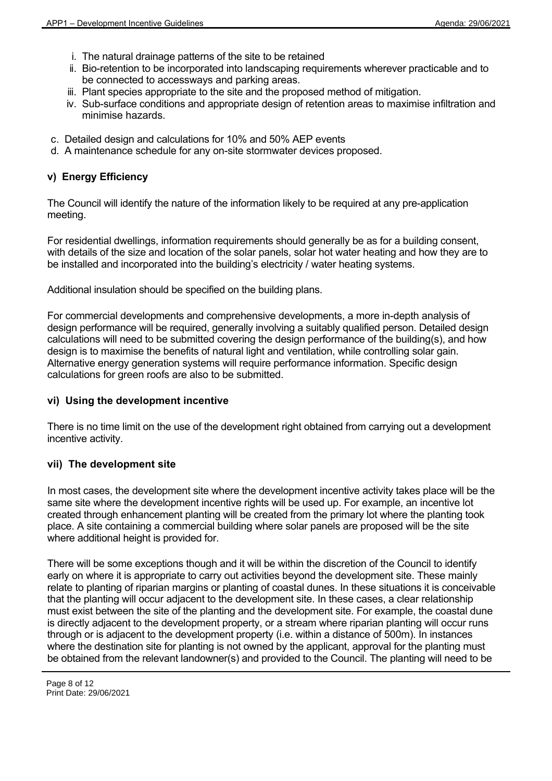- i. The natural drainage patterns of the site to be retained
- ii. Bio-retention to be incorporated into landscaping requirements wherever practicable and to be connected to accessways and parking areas.
- iii. Plant species appropriate to the site and the proposed method of mitigation.
- iv. Sub-surface conditions and appropriate design of retention areas to maximise infiltration and minimise hazards.
- c. Detailed design and calculations for 10% and 50% AEP events
- d. A maintenance schedule for any on-site stormwater devices proposed.

#### **v) Energy Efficiency**

The Council will identify the nature of the information likely to be required at any pre-application meeting.

For residential dwellings, information requirements should generally be as for a building consent, with details of the size and location of the solar panels, solar hot water heating and how they are to be installed and incorporated into the building's electricity / water heating systems.

Additional insulation should be specified on the building plans.

For commercial developments and comprehensive developments, a more in-depth analysis of design performance will be required, generally involving a suitably qualified person. Detailed design calculations will need to be submitted covering the design performance of the building(s), and how design is to maximise the benefits of natural light and ventilation, while controlling solar gain. Alternative energy generation systems will require performance information. Specific design calculations for green roofs are also to be submitted.

#### **vi) Using the development incentive**

There is no time limit on the use of the development right obtained from carrying out a development incentive activity.

#### **vii) The development site**

In most cases, the development site where the development incentive activity takes place will be the same site where the development incentive rights will be used up. For example, an incentive lot created through enhancement planting will be created from the primary lot where the planting took place. A site containing a commercial building where solar panels are proposed will be the site where additional height is provided for.

There will be some exceptions though and it will be within the discretion of the Council to identify early on where it is appropriate to carry out activities beyond the development site. These mainly relate to planting of riparian margins or planting of coastal dunes. In these situations it is conceivable that the planting will occur adjacent to the development site. In these cases, a clear relationship must exist between the site of the planting and the development site. For example, the coastal dune is directly adjacent to the development property, or a stream where riparian planting will occur runs through or is adjacent to the development property (i.e. within a distance of 500m). In instances where the destination site for planting is not owned by the applicant, approval for the planting must be obtained from the relevant landowner(s) and provided to the Council. The planting will need to be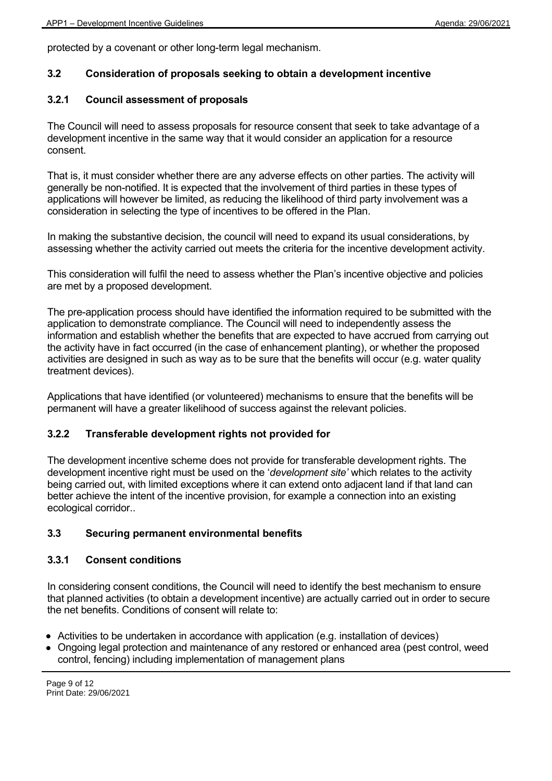protected by a covenant or other long-term legal mechanism.

# **3.2 Consideration of proposals seeking to obtain a development incentive**

# **3.2.1 Council assessment of proposals**

The Council will need to assess proposals for resource consent that seek to take advantage of a development incentive in the same way that it would consider an application for a resource consent.

That is, it must consider whether there are any adverse effects on other parties. The activity will generally be non-notified. It is expected that the involvement of third parties in these types of applications will however be limited, as reducing the likelihood of third party involvement was a consideration in selecting the type of incentives to be offered in the Plan.

In making the substantive decision, the council will need to expand its usual considerations, by assessing whether the activity carried out meets the criteria for the incentive development activity.

This consideration will fulfil the need to assess whether the Plan's incentive objective and policies are met by a proposed development.

The pre-application process should have identified the information required to be submitted with the application to demonstrate compliance. The Council will need to independently assess the information and establish whether the benefits that are expected to have accrued from carrying out the activity have in fact occurred (in the case of enhancement planting), or whether the proposed activities are designed in such as way as to be sure that the benefits will occur (e.g. water quality treatment devices).

Applications that have identified (or volunteered) mechanisms to ensure that the benefits will be permanent will have a greater likelihood of success against the relevant policies.

# **3.2.2 Transferable development rights not provided for**

The development incentive scheme does not provide for transferable development rights. The development incentive right must be used on the '*development site'* which relates to the activity being carried out, with limited exceptions where it can extend onto adjacent land if that land can better achieve the intent of the incentive provision, for example a connection into an existing ecological corridor..

# **3.3 Securing permanent environmental benefits**

# **3.3.1 Consent conditions**

In considering consent conditions, the Council will need to identify the best mechanism to ensure that planned activities (to obtain a development incentive) are actually carried out in order to secure the net benefits. Conditions of consent will relate to:

- Activities to be undertaken in accordance with application (e.g. installation of devices)
- Ongoing legal protection and maintenance of any restored or enhanced area (pest control, weed control, fencing) including implementation of management plans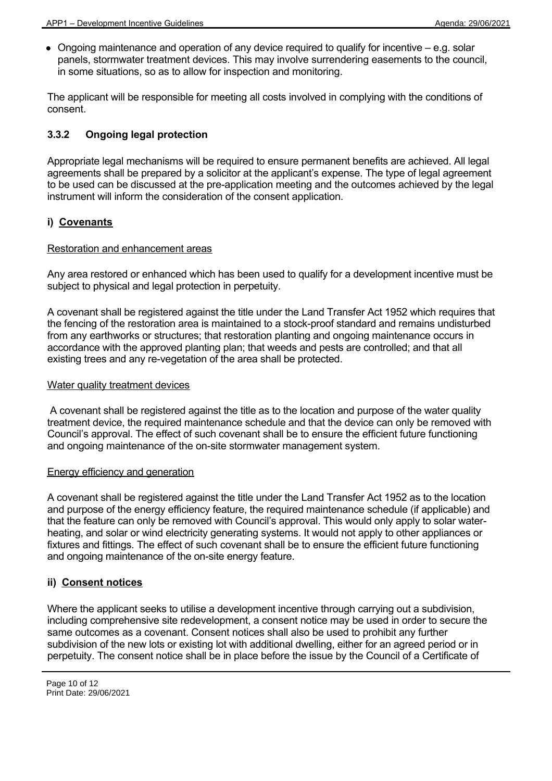$\bullet$  Ongoing maintenance and operation of any device required to qualify for incentive  $-$  e.g. solar panels, stormwater treatment devices. This may involve surrendering easements to the council, in some situations, so as to allow for inspection and monitoring.

The applicant will be responsible for meeting all costs involved in complying with the conditions of consent.

# **3.3.2 Ongoing legal protection**

Appropriate legal mechanisms will be required to ensure permanent benefits are achieved. All legal agreements shall be prepared by a solicitor at the applicant's expense. The type of legal agreement to be used can be discussed at the pre-application meeting and the outcomes achieved by the legal instrument will inform the consideration of the consent application.

### **i) Covenants**

#### Restoration and enhancement areas

Any area restored or enhanced which has been used to qualify for a development incentive must be subject to physical and legal protection in perpetuity.

A covenant shall be registered against the title under the Land Transfer Act 1952 which requires that the fencing of the restoration area is maintained to a stock-proof standard and remains undisturbed from any earthworks or structures; that restoration planting and ongoing maintenance occurs in accordance with the approved planting plan; that weeds and pests are controlled; and that all existing trees and any re-vegetation of the area shall be protected.

#### Water quality treatment devices

 A covenant shall be registered against the title as to the location and purpose of the water quality treatment device, the required maintenance schedule and that the device can only be removed with Council's approval. The effect of such covenant shall be to ensure the efficient future functioning and ongoing maintenance of the on-site stormwater management system.

#### Energy efficiency and generation

A covenant shall be registered against the title under the Land Transfer Act 1952 as to the location and purpose of the energy efficiency feature, the required maintenance schedule (if applicable) and that the feature can only be removed with Council's approval. This would only apply to solar waterheating, and solar or wind electricity generating systems. It would not apply to other appliances or fixtures and fittings. The effect of such covenant shall be to ensure the efficient future functioning and ongoing maintenance of the on-site energy feature.

#### **ii) Consent notices**

Where the applicant seeks to utilise a development incentive through carrying out a subdivision, including comprehensive site redevelopment, a consent notice may be used in order to secure the same outcomes as a covenant. Consent notices shall also be used to prohibit any further subdivision of the new lots or existing lot with additional dwelling, either for an agreed period or in perpetuity. The consent notice shall be in place before the issue by the Council of a Certificate of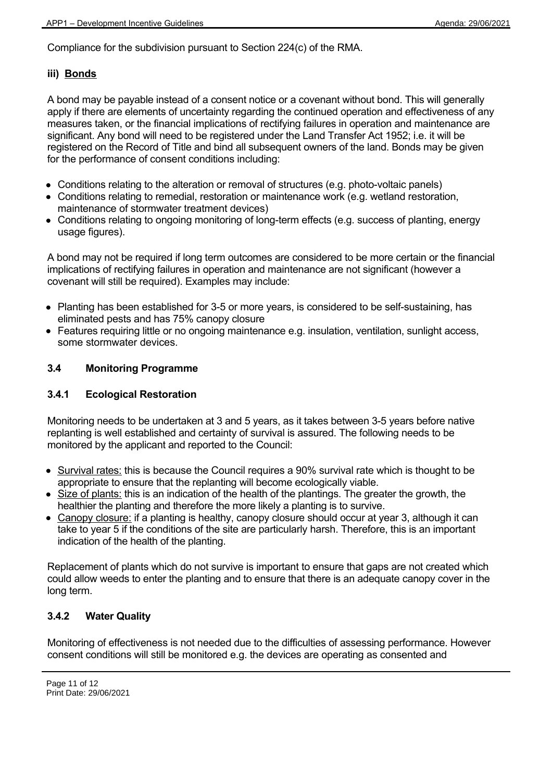Compliance for the subdivision pursuant to Section 224(c) of the RMA.

# **iii) Bonds**

A bond may be payable instead of a consent notice or a covenant without bond. This will generally apply if there are elements of uncertainty regarding the continued operation and effectiveness of any measures taken, or the financial implications of rectifying failures in operation and maintenance are significant. Any bond will need to be registered under the Land Transfer Act 1952; i.e. it will be registered on the Record of Title and bind all subsequent owners of the land. Bonds may be given for the performance of consent conditions including:

- Conditions relating to the alteration or removal of structures (e.g. photo-voltaic panels)
- Conditions relating to remedial, restoration or maintenance work (e.g. wetland restoration, maintenance of stormwater treatment devices)
- Conditions relating to ongoing monitoring of long-term effects (e.g. success of planting, energy usage figures).

A bond may not be required if long term outcomes are considered to be more certain or the financial implications of rectifying failures in operation and maintenance are not significant (however a covenant will still be required). Examples may include:

- Planting has been established for 3-5 or more years, is considered to be self-sustaining, has eliminated pests and has 75% canopy closure
- Features requiring little or no ongoing maintenance e.g. insulation, ventilation, sunlight access, some stormwater devices.

# **3.4 Monitoring Programme**

# **3.4.1 Ecological Restoration**

Monitoring needs to be undertaken at 3 and 5 years, as it takes between 3-5 years before native replanting is well established and certainty of survival is assured. The following needs to be monitored by the applicant and reported to the Council:

- Survival rates: this is because the Council requires a 90% survival rate which is thought to be appropriate to ensure that the replanting will become ecologically viable.
- Size of plants: this is an indication of the health of the plantings. The greater the growth, the healthier the planting and therefore the more likely a planting is to survive.
- Canopy closure: if a planting is healthy, canopy closure should occur at year 3, although it can take to year 5 if the conditions of the site are particularly harsh. Therefore, this is an important indication of the health of the planting.

Replacement of plants which do not survive is important to ensure that gaps are not created which could allow weeds to enter the planting and to ensure that there is an adequate canopy cover in the long term.

# **3.4.2 Water Quality**

Monitoring of effectiveness is not needed due to the difficulties of assessing performance. However consent conditions will still be monitored e.g. the devices are operating as consented and